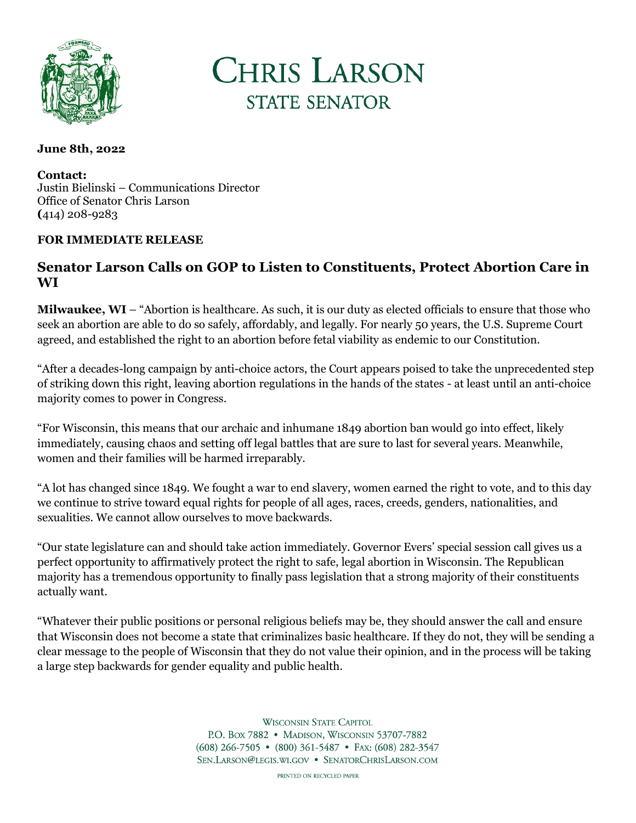



## **June 8th, 2022**

**Contact:** Justin Bielinski – Communications Director Office of Senator Chris Larson **(**414) 208-9283

## **FOR IMMEDIATE RELEASE**

## **Senator Larson Calls on GOP to Listen to Constituents, Protect Abortion Care in WI**

**Milwaukee, WI** – "Abortion is healthcare. As such, it is our duty as elected officials to ensure that those who seek an abortion are able to do so safely, affordably, and legally. For nearly 50 years, the U.S. Supreme Court agreed, and established the right to an abortion before fetal viability as endemic to our Constitution.

"After a decades-long campaign by anti-choice actors, the Court appears poised to take the unprecedented step of striking down this right, leaving abortion regulations in the hands of the states - at least until an anti-choice majority comes to power in Congress.

"For Wisconsin, this means that our archaic and inhumane 1849 abortion ban would go into effect, likely immediately, causing chaos and setting off legal battles that are sure to last for several years. Meanwhile, women and their families will be harmed irreparably.

"A lot has changed since 1849. We fought a war to end slavery, women earned the right to vote, and to this day we continue to strive toward equal rights for people of all ages, races, creeds, genders, nationalities, and sexualities. We cannot allow ourselves to move backwards.

"Our state legislature can and should take action immediately. Governor Evers' special session call gives us a perfect opportunity to affirmatively protect the right to safe, legal abortion in Wisconsin. The Republican majority has a tremendous opportunity to finally pass legislation that a strong majority of their constituents actually want.

"Whatever their public positions or personal religious beliefs may be, they should answer the call and ensure that Wisconsin does not become a state that criminalizes basic healthcare. If they do not, they will be sending a clear message to the people of Wisconsin that they do not value their opinion, and in the process will be taking a large step backwards for gender equality and public health.

> **WISCONSIN STATE CAPITOL** P.O. Box 7882 • MADISON, WISCONSIN 53707-7882 (608) 266-7505 • (800) 361-5487 • FAX: (608) 282-3547 SEN.LARSON@LEGIS.WI.GOV . SENATORCHRISLARSON.COM

> > PRINTED ON RECYCLED PAPER